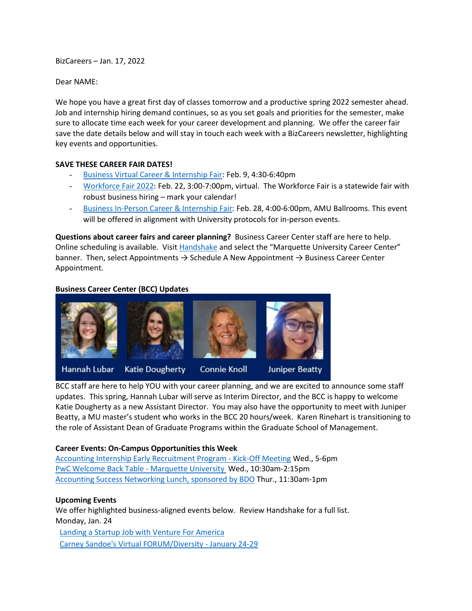BizCareers – Jan. 17, 2022

Dear NAME:

We hope you have a great first day of classes tomorrow and a productive spring 2022 semester ahead. Job and internship hiring demand continues, so as you set goals and priorities for the semester, make sure to allocate time each week for your career development and planning. We offer the career fair save the date details below and will stay in touch each week with a BizCareers newsletter, highlighting key events and opportunities.

#### **SAVE THESE CAREER FAIR DATES!**

- [Business Virtual Career & Internship Fair:](https://marquette.joinhandshake.com/career_fairs/30465/student_preview?token=hCkbLuCLbJyDYFgalKSfSMmA6iR_qkAyVZJbHdzEktheIMtLdDAp3w) Feb. 9, 4:30-6:40pm
- [Workforce Fair 2022:](https://marquette.joinhandshake.com/career_fairs/27842/student_preview?token=yHwzfc31IM7s7QQSxUn-G9lr8V4TvLvzs1VJhpT6dJU961o4uYnQ3w) Feb. 22, 3:00-7:00pm, virtual. The Workforce Fair is a statewide fair with robust business hiring – mark your calendar!
- [Business In-Person Career & Internship Fair:](https://marquette.joinhandshake.com/career_fairs/30484/student_preview?token=WCqhpDRotASCVKxFNhSSfIRZXoKInwSrh8OV1hvNG4tWU7PIUgqwLg) Feb. 28, 4:00-6:00pm, AMU Ballrooms. This event will be offered in alignment with University protocols for in-person events.

**Questions about career fairs and career planning?** Business Career Center staff are here to help. Online scheduling is available. Visi[t Handshake](https://marquette.joinhandshake.com/) and select the "Marquette University Career Center" banner. Then, select Appointments  $\rightarrow$  Schedule A New Appointment  $\rightarrow$  Business Career Center Appointment.

#### **Business Career Center (BCC) Updates**



BCC staff are here to help YOU with your career planning, and we are excited to announce some staff updates. This spring, Hannah Lubar will serve as Interim Director, and the BCC is happy to welcome Katie Dougherty as a new Assistant Director. You may also have the opportunity to meet with Juniper Beatty, a MU master's student who works in the BCC 20 hours/week. Karen Rinehart is transitioning to the role of Assistant Dean of Graduate Programs within the Graduate School of Management.

#### **Career Events: On-Campus Opportunities this Week**

[Accounting Internship Early Recruitment Program -](https://marquette.joinhandshake.com/events/933533/share_preview) Kick-Off Meeting Wed., 5-6pm [PwC Welcome Back Table -](https://marquette.joinhandshake.com/events/932353/share_preview) Marquette University Wed., 10:30am-2:15pm [Accounting Success Networking Lunch, sponsored by BDO](https://marquette.joinhandshake.com/events/936927/share_preview) Thur., 11:30am-1pm

#### **Upcoming Events**

We offer highlighted business-aligned events below. Review Handshake for a full list. Monday, Jan. 24

[Landing a Startup Job with Venture For America](https://marquette.joinhandshake.com/events/937164/share_preview) [Carney Sandoe's Virtual FORUM/Diversity](https://marquette.joinhandshake.com/events/930683/share_preview) - January 24-29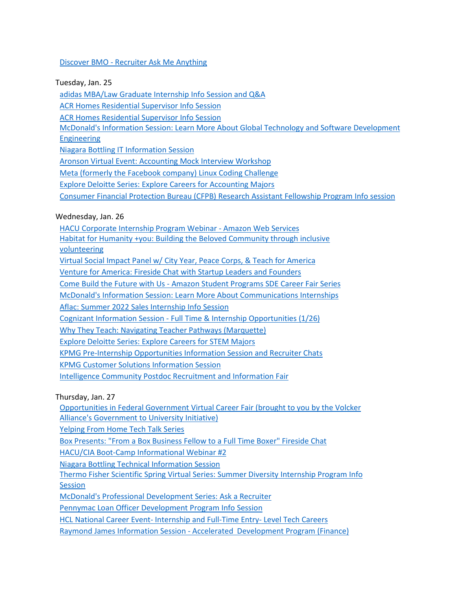### Discover BMO - [Recruiter Ask Me Anything](https://marquette.joinhandshake.com/events/928447/share_preview)

Tuesday, Jan. 25

[adidas MBA/Law Graduate Internship Info Session and Q&A](https://marquette.joinhandshake.com/events/947029/share_preview)

[ACR Homes Residential Supervisor Info Session](https://marquette.joinhandshake.com/events/946918/share_preview)

[ACR Homes Residential Supervisor Info Session](https://marquette.joinhandshake.com/events/946883/share_preview)

[McDonald's Information Session: Learn More About Global Technology and Software Development](https://marquette.joinhandshake.com/events/945806/share_preview)  [Engineering](https://marquette.joinhandshake.com/events/945806/share_preview) 

[Niagara Bottling IT Information Session](https://marquette.joinhandshake.com/events/942636/share_preview)

[Aronson Virtual Event: Accounting Mock Interview Workshop](https://marquette.joinhandshake.com/events/940124/share_preview)

[Meta \(formerly the Facebook company\) Linux Coding Challenge](https://marquette.joinhandshake.com/events/938044/share_preview)

Explore D[eloitte Series: Explore Careers for Accounting Majors](https://marquette.joinhandshake.com/events/935229/share_preview) 

[Consumer Financial Protection Bureau \(CFPB\) Research Assistant Fellowship Program Info session](https://marquette.joinhandshake.com/events/923044/share_preview)

Wednesday, Jan. 26

[HACU Corporate Internship Program Webinar -](https://marquette.joinhandshake.com/events/949196/share_preview) Amazon Web Services

[Habitat for Humanity +you: Building the Beloved Community through inclusive](https://marquette.joinhandshake.com/events/948896/share_preview) 

[volunteering](https://marquette.joinhandshake.com/events/948896/share_preview)

[Virtual Social Impact Panel w/ City Year, Peace Corps, & Teach for America](https://marquette.joinhandshake.com/events/948052/share_preview)

[Venture for America: Fireside Chat with Startup Leaders and Founders](https://marquette.joinhandshake.com/events/947526/share_preview)

Come Build the Future with Us - [Amazon Student Programs SDE Career Fair Series](https://marquette.joinhandshake.com/events/946784/share_preview)

[McDonald's Information Session: Learn More About Communications Internships](https://marquette.joinhandshake.com/events/945828/share_preview) 

[Aflac: Summer 2022 Sales Internship Info Session](https://marquette.joinhandshake.com/events/939026/share_preview)

Cognizant Information Session - [Full Time & Internship Opportunities \(1/26\)](https://marquette.joinhandshake.com/events/937649/share_preview)

[Why They Teach: Navigating Teacher Pathways \(Marquette\)](https://marquette.joinhandshake.com/events/935497/share_preview)

[Explore Deloitte Series: Explore Careers for STEM Majors](https://marquette.joinhandshake.com/events/935242/share_preview) 

KPMG Pre-[Internship Opportunities Information Session and Recruit](https://marquette.joinhandshake.com/events/933208/share_preview)er Chats

[KPMG Customer Solutions Information Session](https://marquette.joinhandshake.com/events/933187/share_preview)

[Intelligence Community Postdoc Recruitment and Information Fair](https://marquette.joinhandshake.com/events/927975/share_preview)

Thursday, Jan. 27

[Opportunities in Federal Government Virtual Career Fair \(brought to you by the Volcker](https://marquette.joinhandshake.com/events/946865/share_preview)  [Alliance's Government to University Initiative\)](https://marquette.joinhandshake.com/events/946865/share_preview)

[Yelping From Home Tech Talk Series](https://marquette.joinhandshake.com/events/946666/share_preview)

[Box Presents: "From a Box Business Fellow to a Full Time Boxer" Fireside Chat](https://marquette.joinhandshake.com/events/945610/share_preview)

[HACU/CIA Boot-Camp Informational Webinar #2](https://marquette.joinhandshake.com/events/943969/share_preview)

Niagara [Bottling Technical Information Session](https://marquette.joinhandshake.com/events/942663/share_preview)

[Thermo Fisher Scientific Spring Virtual Series: Summer Diversity Internship Program Info](https://marquette.joinhandshake.com/events/942231/share_preview)  **[Session](https://marquette.joinhandshake.com/events/942231/share_preview)** 

[McDonald's Professional Development Series: Ask a Recruiter](https://marquette.joinhandshake.com/events/938679/share_preview)

[Pennymac Loan Officer Development](https://marquette.joinhandshake.com/events/937965/share_preview) Program Info Session

HCL National Career Event- [Internship and Full-Time Entry-](https://marquette.joinhandshake.com/events/931347/share_preview) Level Tech Careers

Raymond James Information Session - [Accelerated Development Program \(Finance\)](https://marquette.joinhandshake.com/events/917626/share_preview)